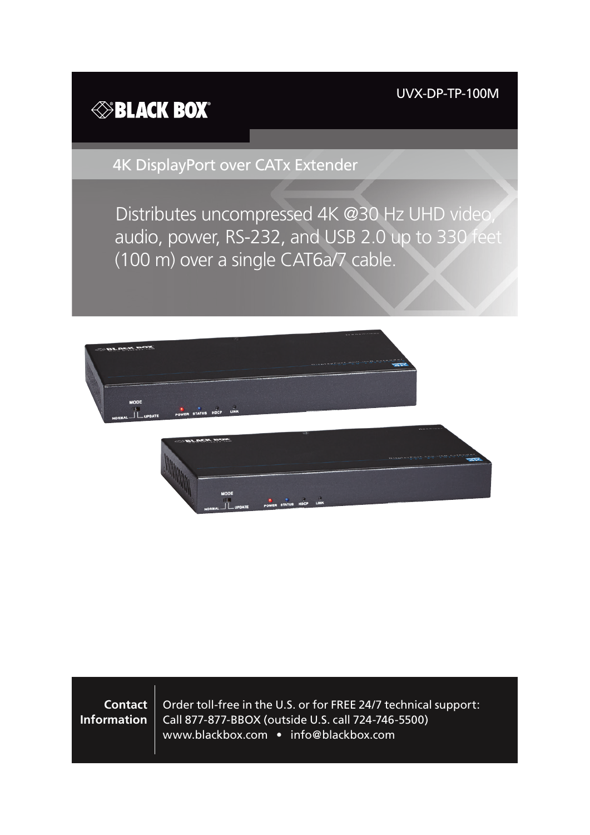UVX-DP-TP-100M

# *SBLACK BOX*

4K DisplayPort over CATx Extender

Distributes uncompressed 4K @30 Hz UHD video, audio, power, RS-232, and USB 2.0 up to 330 feet (100 m) over a single CAT6a/7 cable.



**Contact Information** Order toll-free in the U.S. or for FREE 24/7 technical support: Call 877-877-BBOX (outside U.S. call 724-746-5500) www.blackbox.com • info@blackbox.com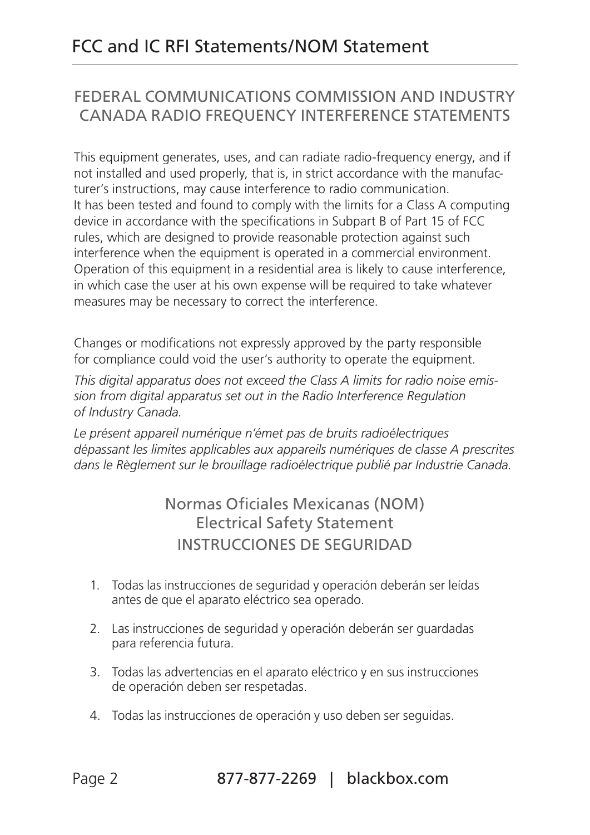### FEDERAL COMMUNICATIONS COMMISSION AND INDUSTRY CANADA RADIO FREQUENCY INTERFERENCE STATEMENTS

This equipment generates, uses, and can radiate radio-frequency energy, and if not installed and used properly, that is, in strict accordance with the manufacturer's instructions, may cause interference to radio communication. It has been tested and found to comply with the limits for a Class A computing device in accordance with the specifications in Subpart B of Part 15 of FCC rules, which are designed to provide reasonable protection against such interference when the equipment is operated in a commercial environment. Operation of this equipment in a residential area is likely to cause interference, in which case the user at his own expense will be required to take whatever measures may be necessary to correct the interference.

Changes or modifications not expressly approved by the party responsible for compliance could void the user's authority to operate the equipment.

*This digital apparatus does not exceed the Class A limits for radio noise emission from digital apparatus set out in the Radio Interference Regulation of Industry Canada.*

*Le présent appareil numérique n'émet pas de bruits radioélectriques dépassant les limites applicables aux appareils numériques de classe A prescrites dans le Règlement sur le brouillage radioélectrique publié par Industrie Canada.*

> Normas Oficiales Mexicanas (NOM) Electrical Safety Statement INSTRUCCIONES DE SEGURIDAD

- 1. Todas las instrucciones de seguridad y operación deberán ser leídas antes de que el aparato eléctrico sea operado.
- 2. Las instrucciones de seguridad y operación deberán ser guardadas para referencia futura.
- 3. Todas las advertencias en el aparato eléctrico y en sus instrucciones de operación deben ser respetadas.
- 4. Todas las instrucciones de operación y uso deben ser seguidas.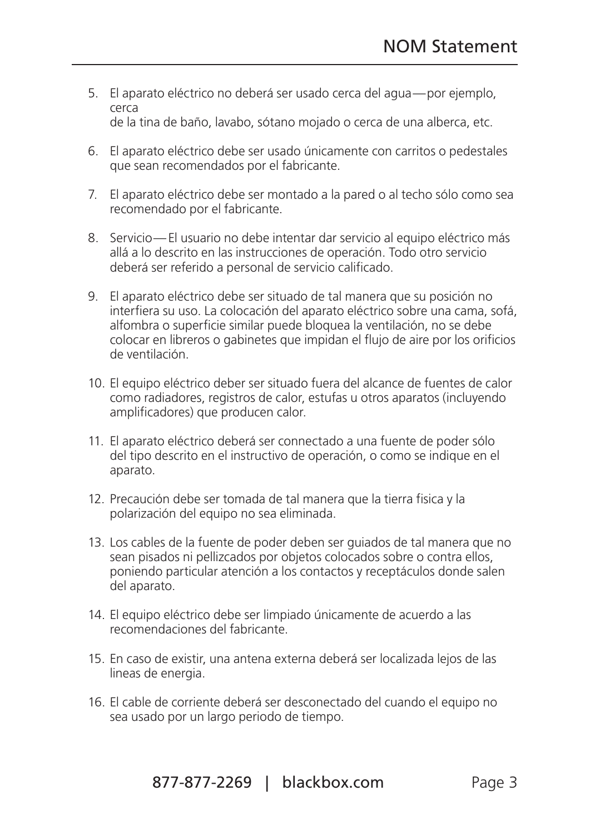- 5. El aparato eléctrico no deberá ser usado cerca del agua—por ejemplo, cerca de la tina de baño, lavabo, sótano mojado o cerca de una alberca, etc.
- 6. El aparato eléctrico debe ser usado únicamente con carritos o pedestales que sean recomendados por el fabricante.
- 7. El aparato eléctrico debe ser montado a la pared o al techo sólo como sea recomendado por el fabricante.
- 8. Servicio—El usuario no debe intentar dar servicio al equipo eléctrico más allá a lo descrito en las instrucciones de operación. Todo otro servicio deberá ser referido a personal de servicio calificado.
- 9. El aparato eléctrico debe ser situado de tal manera que su posición no interfiera su uso. La colocación del aparato eléctrico sobre una cama, sofá, alfombra o superficie similar puede bloquea la ventilación, no se debe colocar en libreros o gabinetes que impidan el flujo de aire por los orificios de ventilación.
- 10. El equipo eléctrico deber ser situado fuera del alcance de fuentes de calor como radiadores, registros de calor, estufas u otros aparatos (incluyendo amplificadores) que producen calor.
- 11. El aparato eléctrico deberá ser connectado a una fuente de poder sólo del tipo descrito en el instructivo de operación, o como se indique en el aparato.
- 12. Precaución debe ser tomada de tal manera que la tierra fisica y la polarización del equipo no sea eliminada.
- 13. Los cables de la fuente de poder deben ser guiados de tal manera que no sean pisados ni pellizcados por objetos colocados sobre o contra ellos, poniendo particular atención a los contactos y receptáculos donde salen del aparato.
- 14. El equipo eléctrico debe ser limpiado únicamente de acuerdo a las recomendaciones del fabricante.
- 15. En caso de existir, una antena externa deberá ser localizada lejos de las lineas de energia.
- 16. El cable de corriente deberá ser desconectado del cuando el equipo no sea usado por un largo periodo de tiempo.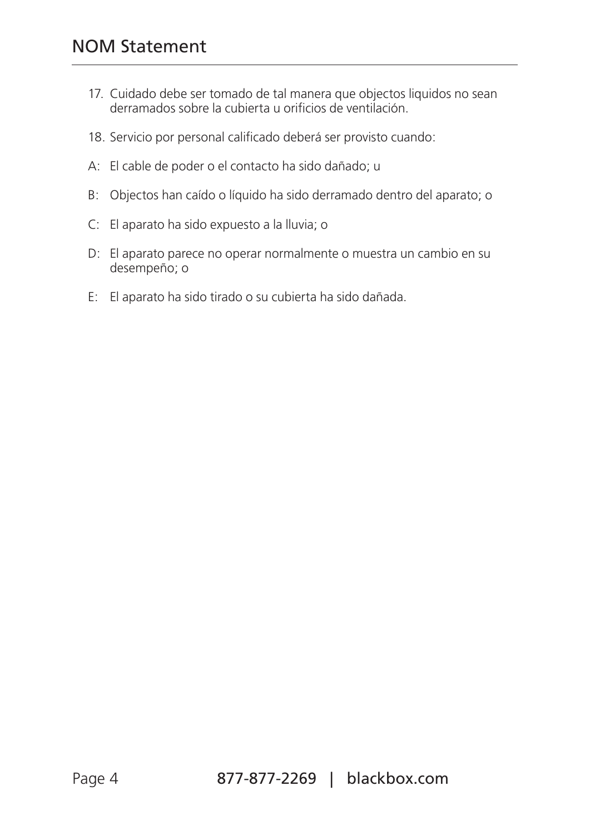- 17. Cuidado debe ser tomado de tal manera que objectos liquidos no sean derramados sobre la cubierta u orificios de ventilación.
- 18. Servicio por personal calificado deberá ser provisto cuando:
- A: El cable de poder o el contacto ha sido dañado; u
- B: Objectos han caído o líquido ha sido derramado dentro del aparato; o
- C: El aparato ha sido expuesto a la lluvia; o
- D: El aparato parece no operar normalmente o muestra un cambio en su desempeño; o
- E: El aparato ha sido tirado o su cubierta ha sido dañada.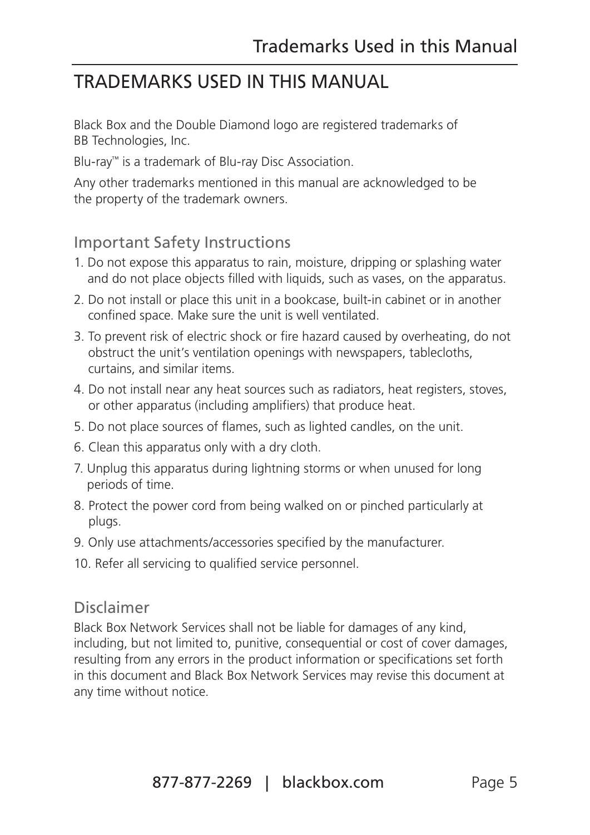# TRADEMARKS USED IN THIS MANUAL

Black Box and the Double Diamond logo are registered trademarks of BB Technologies, Inc.

Blu-ray™ is a trademark of Blu-ray Disc Association.

Any other trademarks mentioned in this manual are acknowledged to be the property of the trademark owners.

#### Important Safety Instructions

- 1. Do not expose this apparatus to rain, moisture, dripping or splashing water and do not place objects filled with liquids, such as vases, on the apparatus.
- 2. Do not install or place this unit in a bookcase, built-in cabinet or in another confined space. Make sure the unit is well ventilated.
- 3. To prevent risk of electric shock or fire hazard caused by overheating, do not obstruct the unit's ventilation openings with newspapers, tablecloths, curtains, and similar items.
- 4. Do not install near any heat sources such as radiators, heat registers, stoves, or other apparatus (including amplifiers) that produce heat.
- 5. Do not place sources of flames, such as lighted candles, on the unit.
- 6. Clean this apparatus only with a dry cloth.
- 7. Unplug this apparatus during lightning storms or when unused for long periods of time.
- 8. Protect the power cord from being walked on or pinched particularly at plugs.
- 9. Only use attachments/accessories specified by the manufacturer.
- 10. Refer all servicing to qualified service personnel.

#### Disclaimer

Black Box Network Services shall not be liable for damages of any kind, including, but not limited to, punitive, consequential or cost of cover damages, resulting from any errors in the product information or specifications set forth in this document and Black Box Network Services may revise this document at any time without notice.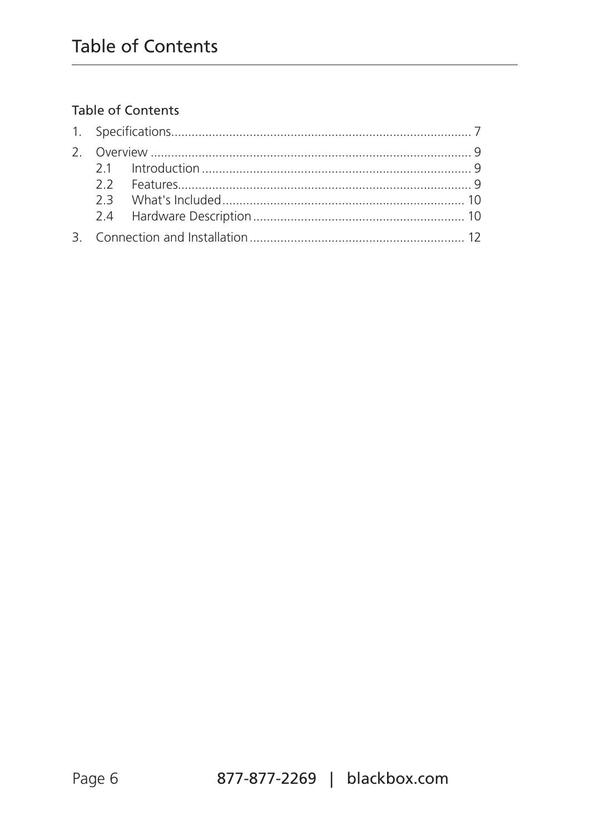### Table of Contents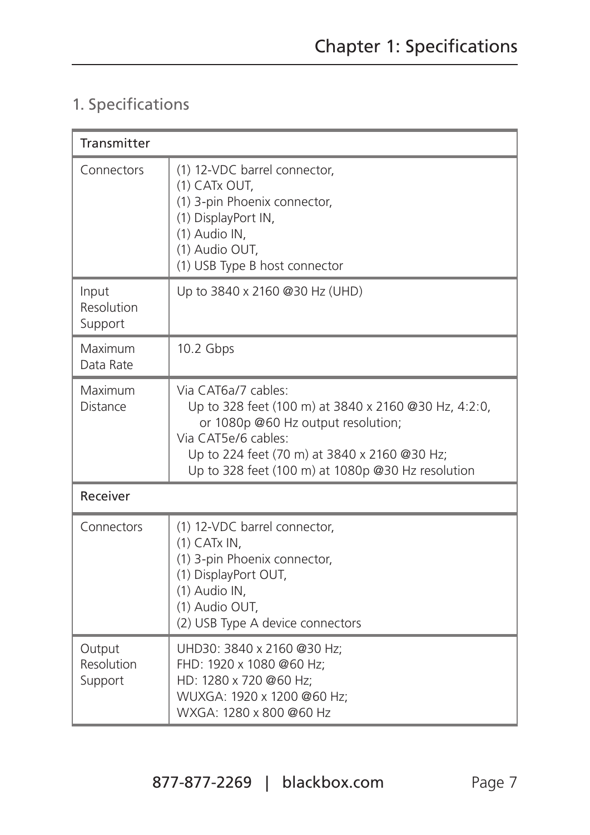## 1. Specifications

| Transmitter                     |                                                                                                                                                                                                                                               |  |  |  |  |  |
|---------------------------------|-----------------------------------------------------------------------------------------------------------------------------------------------------------------------------------------------------------------------------------------------|--|--|--|--|--|
| Connectors                      | (1) 12-VDC barrel connector,<br>(1) CATx OUT,<br>(1) 3-pin Phoenix connector,<br>(1) DisplayPort IN,<br>(1) Audio IN,<br>(1) Audio OUT,<br>(1) USB Type B host connector                                                                      |  |  |  |  |  |
| Input<br>Resolution<br>Support  | Up to 3840 x 2160 @30 Hz (UHD)                                                                                                                                                                                                                |  |  |  |  |  |
| Maximum<br>Data Rate            | 10.2 Gbps                                                                                                                                                                                                                                     |  |  |  |  |  |
| Maximum<br>Distance             | Via CAT6a/7 cables:<br>Up to 328 feet (100 m) at 3840 x 2160 @30 Hz, 4:2:0,<br>or 1080p @60 Hz output resolution;<br>Via CAT5e/6 cables:<br>Up to 224 feet (70 m) at 3840 x 2160 @30 Hz;<br>Up to 328 feet (100 m) at 1080p @30 Hz resolution |  |  |  |  |  |
| Receiver                        |                                                                                                                                                                                                                                               |  |  |  |  |  |
| Connectors                      | (1) 12-VDC barrel connector,<br>$(1)$ CAT <sub>x</sub> IN,<br>(1) 3-pin Phoenix connector,<br>(1) DisplayPort OUT,<br>(1) Audio IN,<br>(1) Audio OUT,<br>(2) USB Type A device connectors                                                     |  |  |  |  |  |
| Output<br>Resolution<br>Support | UHD30: 3840 x 2160 @30 Hz;<br>FHD: 1920 x 1080 @60 Hz:<br>HD: 1280 x 720 @60 Hz;<br>WUXGA: 1920 x 1200 @60 Hz:<br>WXGA: 1280 x 800 @60 Hz                                                                                                     |  |  |  |  |  |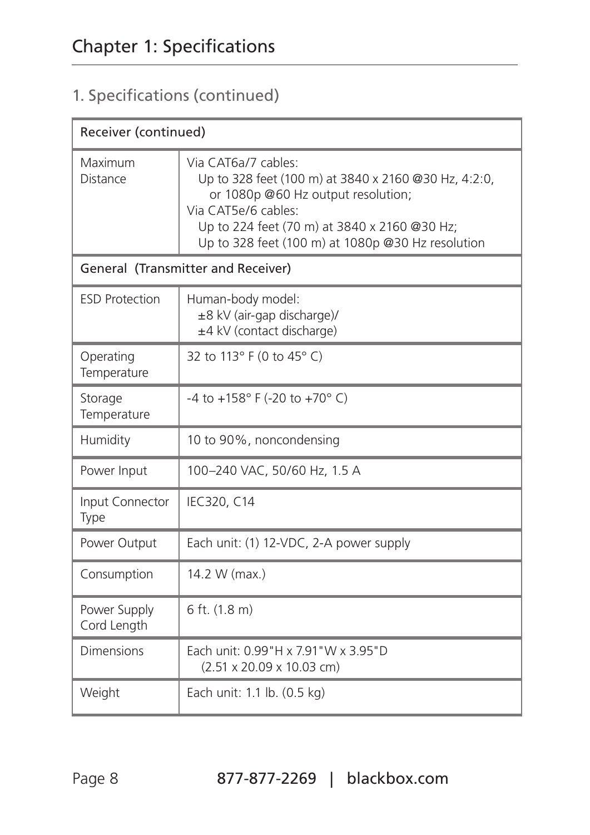# 1. Specifications (continued)

| Receiver (continued)               |                                                                                                                                                                                                                                               |  |  |  |  |
|------------------------------------|-----------------------------------------------------------------------------------------------------------------------------------------------------------------------------------------------------------------------------------------------|--|--|--|--|
| Maximum<br>Distance                | Via CAT6a/7 cables:<br>Up to 328 feet (100 m) at 3840 x 2160 @30 Hz, 4:2:0,<br>or 1080p @60 Hz output resolution;<br>Via CAT5e/6 cables:<br>Up to 224 feet (70 m) at 3840 x 2160 @30 Hz;<br>Up to 328 feet (100 m) at 1080p @30 Hz resolution |  |  |  |  |
| General (Transmitter and Receiver) |                                                                                                                                                                                                                                               |  |  |  |  |
| <b>ESD Protection</b>              | Human-body model:<br>±8 kV (air-gap discharge)/<br>±4 kV (contact discharge)                                                                                                                                                                  |  |  |  |  |
| Operating<br>Temperature           | 32 to 113° F (0 to 45° C)                                                                                                                                                                                                                     |  |  |  |  |
| Storage<br>Temperature             | -4 to +158° F (-20 to +70° C)                                                                                                                                                                                                                 |  |  |  |  |
| Humidity                           | 10 to 90%, noncondensing                                                                                                                                                                                                                      |  |  |  |  |
| Power Input                        | 100-240 VAC, 50/60 Hz, 1.5 A                                                                                                                                                                                                                  |  |  |  |  |
| Input Connector<br>Type            | IEC320, C14                                                                                                                                                                                                                                   |  |  |  |  |
| Power Output                       | Each unit: (1) 12-VDC, 2-A power supply                                                                                                                                                                                                       |  |  |  |  |
| Consumption                        | 14.2 W (max.)                                                                                                                                                                                                                                 |  |  |  |  |
| Power Supply<br>Cord Length        | 6 ft. (1.8 m)                                                                                                                                                                                                                                 |  |  |  |  |
| Dimensions                         | Each unit: 0.99"H x 7.91"W x 3.95"D<br>(2.51 x 20.09 x 10.03 cm)                                                                                                                                                                              |  |  |  |  |
| Weight                             | Each unit: 1.1 lb. (0.5 kg)                                                                                                                                                                                                                   |  |  |  |  |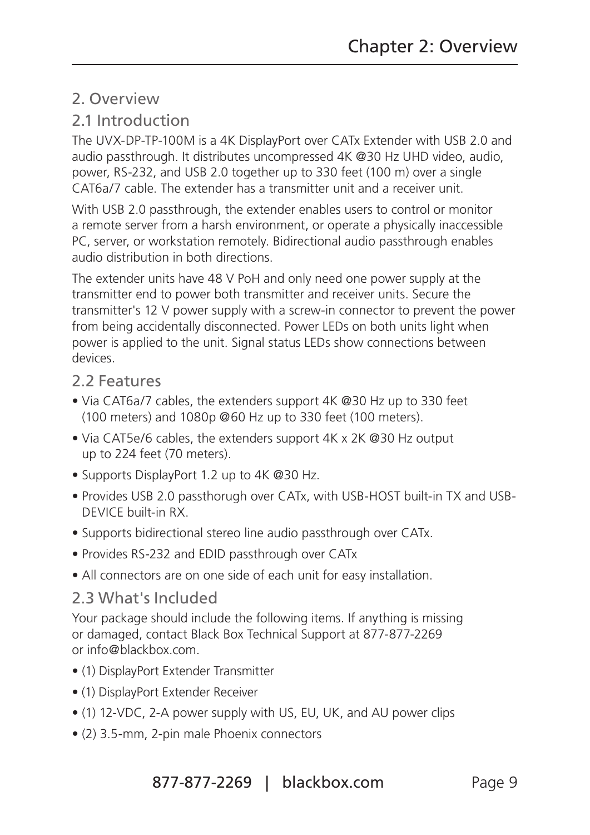### 2. Overview

### 2.1 Introduction

The UVX-DP-TP-100M is a 4K DisplayPort over CATx Extender with USB 2.0 and audio passthrough. It distributes uncompressed 4K @30 Hz UHD video, audio, power, RS-232, and USB 2.0 together up to 330 feet (100 m) over a single CAT6a/7 cable. The extender has a transmitter unit and a receiver unit.

With USB 2.0 passthrough, the extender enables users to control or monitor a remote server from a harsh environment, or operate a physically inaccessible PC, server, or workstation remotely. Bidirectional audio passthrough enables audio distribution in both directions.

The extender units have 48 V PoH and only need one power supply at the transmitter end to power both transmitter and receiver units. Secure the transmitter's 12 V power supply with a screw-in connector to prevent the power from being accidentally disconnected. Power LEDs on both units light when power is applied to the unit. Signal status LEDs show connections between devices.

#### 2.2 Features

- Via CAT6a/7 cables, the extenders support 4K @30 Hz up to 330 feet (100 meters) and 1080p @60 Hz up to 330 feet (100 meters).
- Via CAT5e/6 cables, the extenders support 4K x 2K @30 Hz output up to 224 feet (70 meters).
- Supports DisplayPort 1.2 up to 4K @30 Hz.
- Provides USB 2.0 passthorugh over CATx, with USB-HOST built-in TX and USB-DEVICE built-in RX.
- Supports bidirectional stereo line audio passthrough over CATx.
- Provides RS-232 and EDID passthrough over CATx
- All connectors are on one side of each unit for easy installation.

#### 2.3 What's Included

Your package should include the following items. If anything is missing or damaged, contact Black Box Technical Support at 877-877-2269 or info@blackbox.com.

- (1) DisplayPort Extender Transmitter
- (1) DisplayPort Extender Receiver
- (1) 12-VDC, 2-A power supply with US, EU, UK, and AU power clips
- (2) 3.5-mm, 2-pin male Phoenix connectors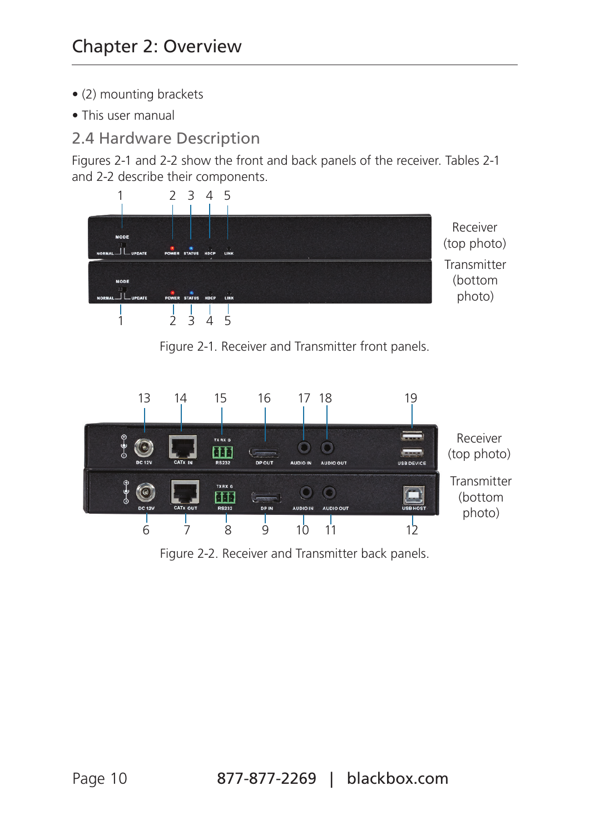- (2) mounting brackets
- This user manual
- 2.4 Hardware Description

Figures 2-1 and 2-2 show the front and back panels of the receiver. Tables 2-1 and 2-2 describe their components.



Figure 2-1. Receiver and Transmitter front panels.



Figure 2-2. Receiver and Transmitter back panels.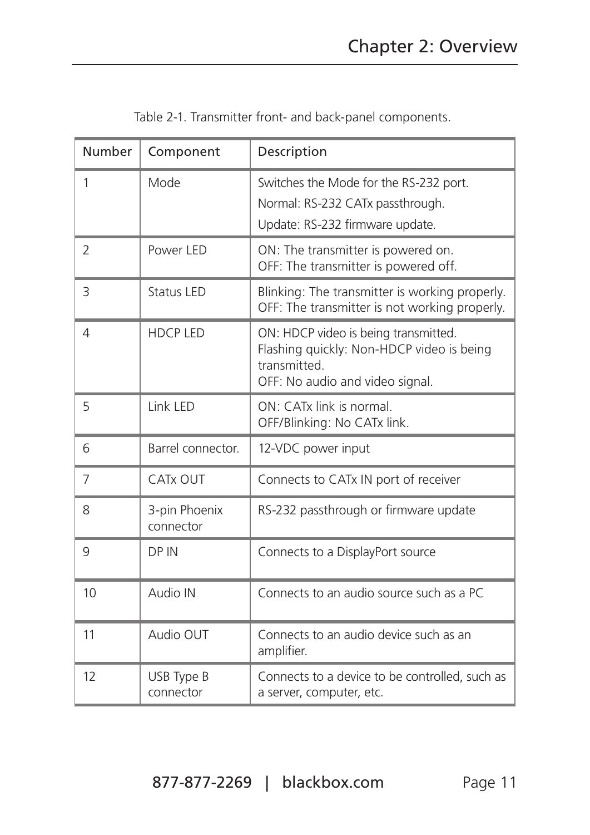| Number                   | Component                  | Description                                                                                                                          |
|--------------------------|----------------------------|--------------------------------------------------------------------------------------------------------------------------------------|
| 1                        | Mode                       | Switches the Mode for the RS-232 port.<br>Normal: RS-232 CATx passthrough.<br>Update: RS-232 firmware update.                        |
| $\overline{\phantom{0}}$ | Power LED                  | ON: The transmitter is powered on.<br>OFF: The transmitter is powered off.                                                           |
| 3                        | Status LED                 | Blinking: The transmitter is working properly.<br>OFF: The transmitter is not working properly.                                      |
| $\overline{4}$           | <b>HDCP LED</b>            | ON: HDCP video is being transmitted.<br>Flashing quickly: Non-HDCP video is being<br>transmitted.<br>OFF: No audio and video signal. |
| 5                        | Link LED                   | ON: CATx link is normal.<br>OFF/Blinking: No CATx link.                                                                              |
| 6                        | Barrel connector.          | 12-VDC power input                                                                                                                   |
| 7                        | CATx OUT                   | Connects to CATx IN port of receiver                                                                                                 |
| 8                        | 3-pin Phoenix<br>connector | RS-232 passthrough or firmware update                                                                                                |
| 9                        | DP IN                      | Connects to a DisplayPort source                                                                                                     |
| 10                       | Audio IN                   | Connects to an audio source such as a PC                                                                                             |
| 11                       | Audio OUT                  | Connects to an audio device such as an<br>amplifier.                                                                                 |
| 12                       | USB Type B<br>connector    | Connects to a device to be controlled, such as<br>a server, computer, etc.                                                           |

Table 2-1. Transmitter front- and back-panel components.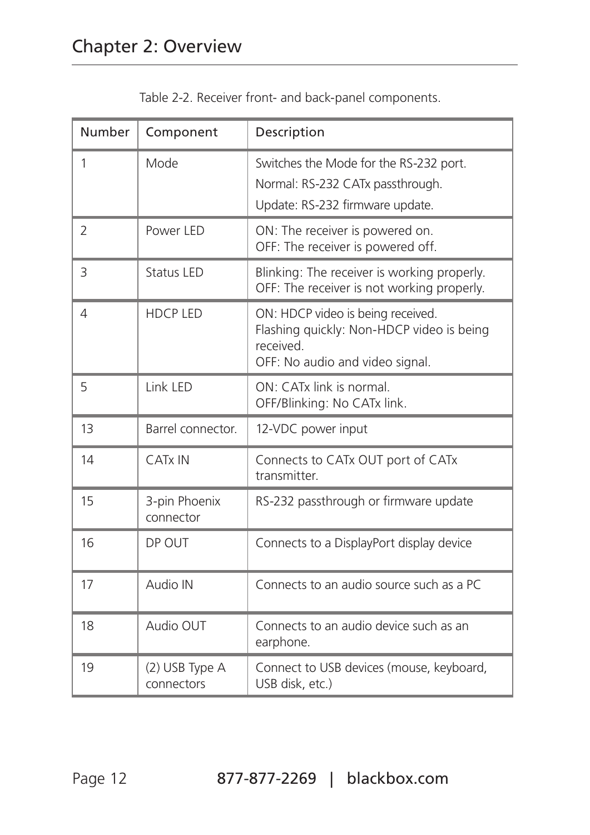| Number         | Component                    | Description                                                                                                                    |
|----------------|------------------------------|--------------------------------------------------------------------------------------------------------------------------------|
| 1              | Mode                         | Switches the Mode for the RS-232 port.<br>Normal: RS-232 CATx passthrough.<br>Update: RS-232 firmware update.                  |
| $\overline{2}$ | Power LFD                    | ON: The receiver is powered on.<br>OFF: The receiver is powered off.                                                           |
| 3              | Status LED                   | Blinking: The receiver is working properly.<br>OFF: The receiver is not working properly.                                      |
| 4              | <b>HDCP LED</b>              | ON: HDCP video is being received.<br>Flashing quickly: Non-HDCP video is being<br>received.<br>OFF: No audio and video signal. |
| 5              | Link LED                     | ON: CATx link is normal.<br>OFF/Blinking: No CATx link.                                                                        |
| 13             | Barrel connector.            | 12-VDC power input                                                                                                             |
| 14             | CAT <sub>x</sub> IN          | Connects to CATx OUT port of CATx<br>transmitter.                                                                              |
| 15             | 3-pin Phoenix<br>connector   | RS-232 passthrough or firmware update                                                                                          |
| 16             | DP OUT                       | Connects to a DisplayPort display device                                                                                       |
| 17             | Audio IN                     | Connects to an audio source such as a PC                                                                                       |
| 18             | Audio OUT                    | Connects to an audio device such as an<br>earphone.                                                                            |
| 19             | (2) USB Type A<br>connectors | Connect to USB devices (mouse, keyboard,<br>USB disk, etc.)                                                                    |

Table 2-2. Receiver front- and back-panel components.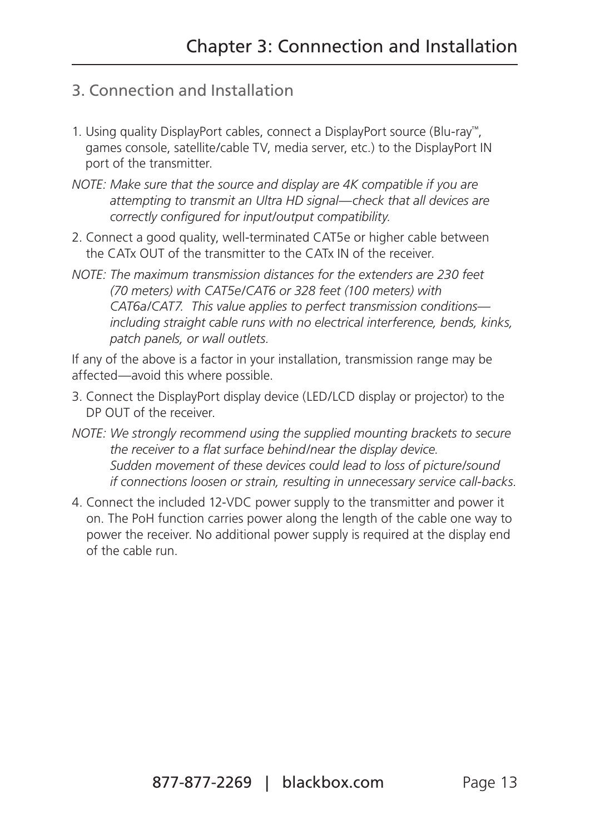### 3. Connection and Installation

- 1. Using quality DisplayPort cables, connect a DisplayPort source (Blu-ray™, games console, satellite/cable TV, media server, etc.) to the DisplayPort IN port of the transmitter.
- *NOTE: Make sure that the source and display are 4K compatible if you are attempting to transmit an Ultra HD signal—check that all devices are correctly configured for input/output compatibility.*
- 2. Connect a good quality, well-terminated CAT5e or higher cable between the CATx OUT of the transmitter to the CATx IN of the receiver.
- *NOTE: The maximum transmission distances for the extenders are 230 feet (70 meters) with CAT5e/CAT6 or 328 feet (100 meters) with CAT6a/CAT7. This value applies to perfect transmission conditions including straight cable runs with no electrical interference, bends, kinks, patch panels, or wall outlets.*

If any of the above is a factor in your installation, transmission range may be affected—avoid this where possible.

- 3. Connect the DisplayPort display device (LED/LCD display or projector) to the DP OUT of the receiver.
- *NOTE: We strongly recommend using the supplied mounting brackets to secure the receiver to a flat surface behind/near the display device. Sudden movement of these devices could lead to loss of picture/sound if connections loosen or strain, resulting in unnecessary service call-backs.*
- 4. Connect the included 12-VDC power supply to the transmitter and power it on. The PoH function carries power along the length of the cable one way to power the receiver. No additional power supply is required at the display end of the cable run.